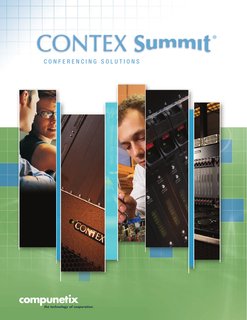# **CONTEX Summit®** CONFERENCING SOLUTIONS

# **HILLER COLLEGE**

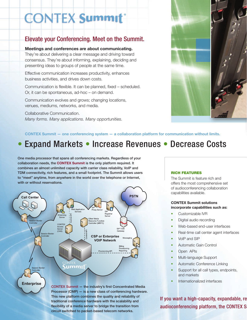# **CONTEX Summit®**

# Elevate your Conferencing. Meet on the Summit.

### **Meetings and conferences are about communicating.**

They're about delivering a clear message and driving toward consensus. They're about informing, explaining, deciding and presenting ideas to groups of people at the same time.

Effective communication increases productivity, enhances business activities, and drives down costs.

Communication is flexible. It can be planned, fixed – scheduled. Or, it can be spontaneous, ad-hoc – on demand.

Communication evolves and grows; changing locations, venues, mediums, networks, and media.

Collaborative Communication. *Many forms. Many applications. Many opportunities.* 



### **CONTEX Summit — one conferencing system — a collaboration platform for communication without limits.**

# • Expand Markets • Increase Revenues • Decrease Costs

One media processor that spans all conferencing markets. Regardless of your collaboration needs, the **CONTEX Summit** is the only platform required. It combines an almost unlimited capacity with carrier class reliability, VoIP and TDM connectivity, rich features, and a small footprint. The Summit allows users to "meet" anytime, from anywhere in the world over the telephone or Internet, with or without reservations.



flexibility of a media server to bridge the transition from circuit switched to packet-based telecom networks.

### RICH FEATURES

The Summit is feature rich and offers the most comprehensive set of audioconferencing collaboration capabilities available.

### **CONTEX Summit solutions incorporate capabilities such as:**

- Customizable IVR
- Digital audio recording
- Web-based end-user interfaces
- Real-time call center agent interfaces
- VoIP and SIP
- Automatic Gain Control
- Open APIs
- Multi-language Support
- Automatic Conference Linking
- Support for all call types, endpoints, and markets
- Internationalized interfaces

If you want a high-capacity, expandable, re audioconferencing platform, the CONTEX S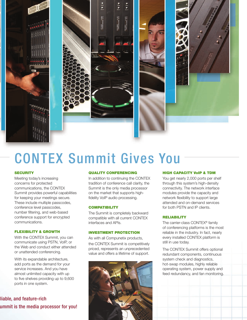

# CONTEX Summit Gives You

### **SECURITY**

Meeting today's increasing concerns for protected communications, the CONTEX Summit provides powerful capabilities for keeping your meetings secure. These include multiple passcodes, conference level passcodes, number filtering, and web-based conference support for encrypted communications.

### FLEXIBILITY & GROWTH

With the CONTEX Summit, you can communicate using PSTN, VoIP, or the Web and conduct either attended or unattended conferencing.

With its expandable architecture, add ports as the demand for your service increases. And you have almost unlimited capacity with up to five shelves providing up to 9,600 ports in one system.

## liable, and feature-rich ummit is the media processor for you!

### QUALITY CONFERENCING

In addition to continuing the CONTEX tradition of conference call clarity, the Summit is the only media processor on the market that supports highfidelity VoIP audio processing.

### **COMPATIBILITY**

The Summit is completely backward compatible with all current CONTEX interfaces and APIs.

### INVESTMENT PROTECTION

As with all Compunetix products, the CONTEX Summit is competitively priced, represents an unprecedented value and offers a lifetime of support.



### HIGH CAPACITY VoIP & TDM

You get nearly 2,000 ports per shelf through this system's high-density connectivity. The network interface modules provide the capacity and network flexibility to support large attended and on-demand services for both PSTN and IP clients.

### RELIABILITY

The carrier-class CONTEX® family of conferencing platforms is the most reliable in the industry. In fact, nearly every installed CONTEX platform is still in use today.

The CONTEX Summit offers optional redundant components, continuous system check and diagnostics, hot-swap modules, highly reliable operating system, power supply and feed redundancy, and fan monitoring.